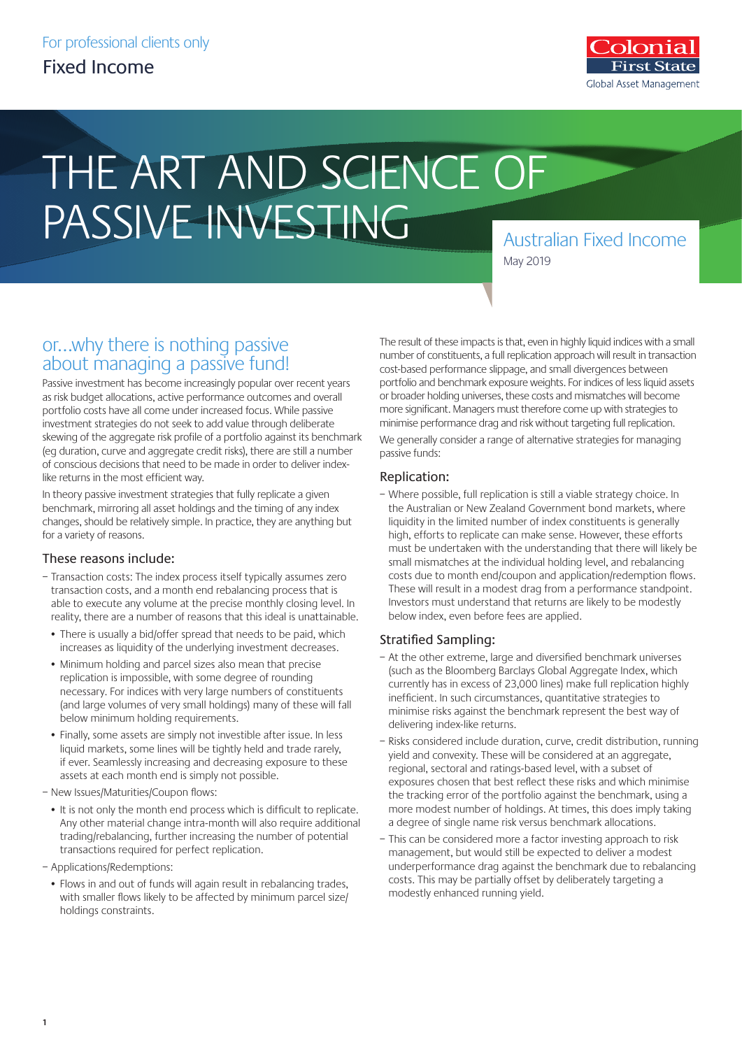

# THE ART AND SCIENCE OF PASSIVE INVESTING

Australian Fixed Income May 2019

## or…why there is nothing passive about managing a passive fund!

Passive investment has become increasingly popular over recent years as risk budget allocations, active performance outcomes and overall portfolio costs have all come under increased focus. While passive investment strategies do not seek to add value through deliberate skewing of the aggregate risk profile of a portfolio against its benchmark (eg duration, curve and aggregate credit risks), there are still a number of conscious decisions that need to be made in order to deliver indexlike returns in the most efficient way.

In theory passive investment strategies that fully replicate a given benchmark, mirroring all asset holdings and the timing of any index changes, should be relatively simple. In practice, they are anything but for a variety of reasons.

### These reasons include:

- Transaction costs: The index process itself typically assumes zero transaction costs, and a month end rebalancing process that is able to execute any volume at the precise monthly closing level. In reality, there are a number of reasons that this ideal is unattainable.
	- There is usually a bid/offer spread that needs to be paid, which increases as liquidity of the underlying investment decreases.
	- Minimum holding and parcel sizes also mean that precise replication is impossible, with some degree of rounding necessary. For indices with very large numbers of constituents (and large volumes of very small holdings) many of these will fall below minimum holding requirements.
	- Finally, some assets are simply not investible after issue. In less liquid markets, some lines will be tightly held and trade rarely, if ever. Seamlessly increasing and decreasing exposure to these assets at each month end is simply not possible.

– New Issues/Maturities/Coupon flows:

- It is not only the month end process which is difficult to replicate. Any other material change intra-month will also require additional trading/rebalancing, further increasing the number of potential transactions required for perfect replication.
- Applications/Redemptions:
	- Flows in and out of funds will again result in rebalancing trades, with smaller flows likely to be affected by minimum parcel size/ holdings constraints.

The result of these impacts is that, even in highly liquid indices with a small number of constituents, a full replication approach will result in transaction cost-based performance slippage, and small divergences between portfolio and benchmark exposure weights. For indices of less liquid assets or broader holding universes, these costs and mismatches will become more significant. Managers must therefore come up with strategies to minimise performance drag and risk without targeting full replication. We generally consider a range of alternative strategies for managing passive funds:

#### Replication:

– Where possible, full replication is still a viable strategy choice. In the Australian or New Zealand Government bond markets, where liquidity in the limited number of index constituents is generally high, efforts to replicate can make sense. However, these efforts must be undertaken with the understanding that there will likely be small mismatches at the individual holding level, and rebalancing costs due to month end/coupon and application/redemption flows. These will result in a modest drag from a performance standpoint. Investors must understand that returns are likely to be modestly below index, even before fees are applied.

### Stratified Sampling:

- At the other extreme, large and diversified benchmark universes (such as the Bloomberg Barclays Global Aggregate Index, which currently has in excess of 23,000 lines) make full replication highly inefficient. In such circumstances, quantitative strategies to minimise risks against the benchmark represent the best way of delivering index-like returns.
- Risks considered include duration, curve, credit distribution, running yield and convexity. These will be considered at an aggregate, regional, sectoral and ratings-based level, with a subset of exposures chosen that best reflect these risks and which minimise the tracking error of the portfolio against the benchmark, using a more modest number of holdings. At times, this does imply taking a degree of single name risk versus benchmark allocations.
- This can be considered more a factor investing approach to risk management, but would still be expected to deliver a modest underperformance drag against the benchmark due to rebalancing costs. This may be partially offset by deliberately targeting a modestly enhanced running yield.